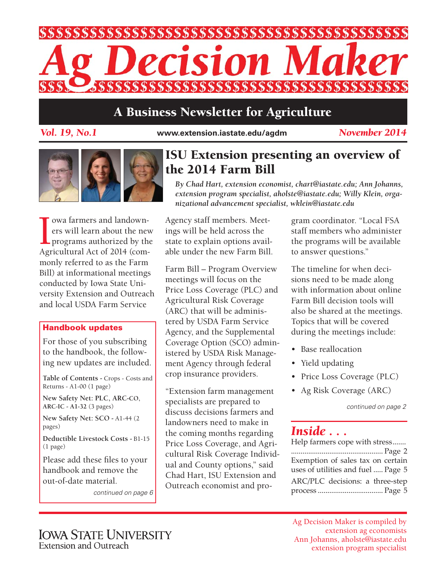

## **A Business Newsletter for Agriculture**

*Vol. 19, No.1* **www.extension.iastate.edu/agdm**

*November 2014*



I owa farmers and landown-<br>ers will learn about the new<br>programs authorized by the<br>Agricultural Act of 2014 (comowa farmers and landowners will learn about the new programs authorized by the monly referred to as the Farm Bill) at informational meetings conducted by Iowa State University Extension and Outreach and local USDA Farm Service

#### **Handbook updates**

For those of you subscribing to the handbook, the following new updates are included.

**Table of Contents -** Crops - Costs and Returns - A1-00 (1 page)

**New Safety Net: PLC, ARC-CO, ARC-IC - A1-32** (3 pages)

**New Safety Net: SCO -** A1-44 (2 pages)

**Deductible Livestock Costs -** B1-15 (1 page)

Please add these files to your handbook and remove the out-of-date material.

*continued on page 6*

## **ISU Extension presenting an overview of the 2014 Farm Bill**

*By Chad Hart, extension economist, chart@iastate.edu; Ann Johanns, extension program specialist, aholste@iastate.edu; Willy Klein, organizational advancement specialist, wklein@iastate.edu*

Agency staff members. Meetings will be held across the state to explain options available under the new Farm Bill.

Farm Bill – Program Overview meetings will focus on the Price Loss Coverage (PLC) and Agricultural Risk Coverage (ARC) that will be administered by USDA Farm Service Agency, and the Supplemental Coverage Option (SCO) administered by USDA Risk Management Agency through federal crop insurance providers.

"Extension farm management specialists are prepared to discuss decisions farmers and landowners need to make in the coming months regarding Price Loss Coverage, and Agricultural Risk Coverage Individual and County options," said Chad Hart, ISU Extension and Outreach economist and program coordinator. "Local FSA staff members who administer the programs will be available to answer questions."

The timeline for when decisions need to be made along with information about online Farm Bill decision tools will also be shared at the meetings. Topics that will be covered during the meetings include:

- Base reallocation
- Yield updating
- Price Loss Coverage (PLC)
- Ag Risk Coverage (ARC)

*continued on page 2*

#### *Inside . . .*

| Help farmers cope with stress      |
|------------------------------------|
|                                    |
| Exemption of sales tax on certain  |
| uses of utilities and fuel  Page 5 |
| ARC/PLC decisions: a three-step    |
|                                    |

Ag Decision Maker is compiled by extension ag economists Ann Johanns, aholste@iastate.edu extension program specialist